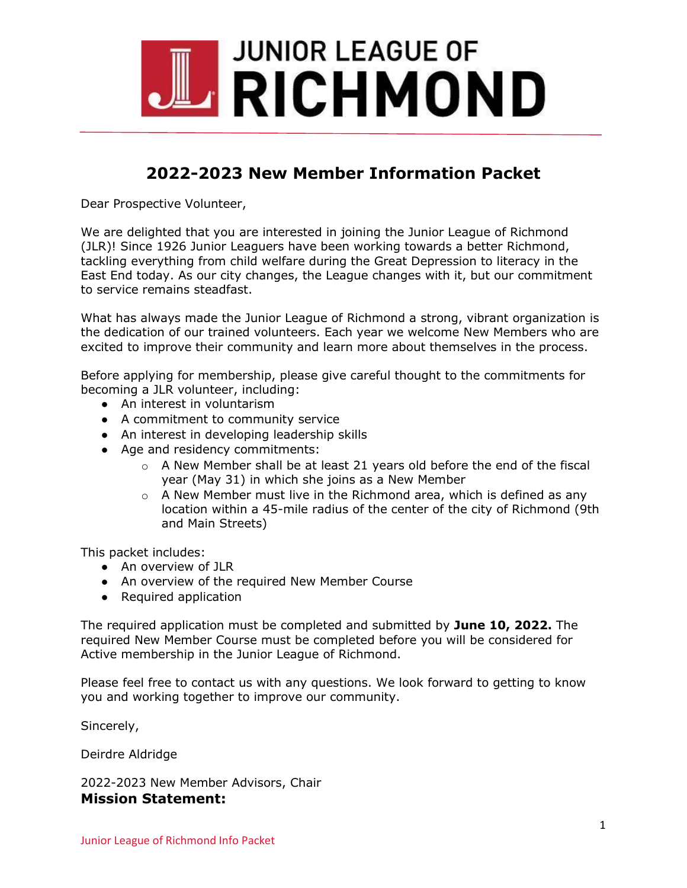

## **2022-2023 New Member Information Packet**

Dear Prospective Volunteer,

We are delighted that you are interested in joining the Junior League of Richmond (JLR)! Since 1926 Junior Leaguers have been working towards a better Richmond, tackling everything from child welfare during the Great Depression to literacy in the East End today. As our city changes, the League changes with it, but our commitment to service remains steadfast.

What has always made the Junior League of Richmond a strong, vibrant organization is the dedication of our trained volunteers. Each year we welcome New Members who are excited to improve their community and learn more about themselves in the process.

Before applying for membership, please give careful thought to the commitments for becoming a JLR volunteer, including:

- An interest in voluntarism
- A commitment to community service
- An interest in developing leadership skills
- Age and residency commitments:
	- $\circ$  A New Member shall be at least 21 years old before the end of the fiscal year (May 31) in which she joins as a New Member
	- $\circ$  A New Member must live in the Richmond area, which is defined as any location within a 45-mile radius of the center of the city of Richmond (9th and Main Streets)

This packet includes:

- An overview of JLR
- An overview of the required New Member Course
- Required application

The required application must be completed and submitted by **June 10, 2022.** The required New Member Course must be completed before you will be considered for Active membership in the Junior League of Richmond.

Please feel free to contact us with any questions. We look forward to getting to know you and working together to improve our community.

Sincerely,

Deirdre Aldridge

2022-2023 New Member Advisors, Chair **Mission Statement:**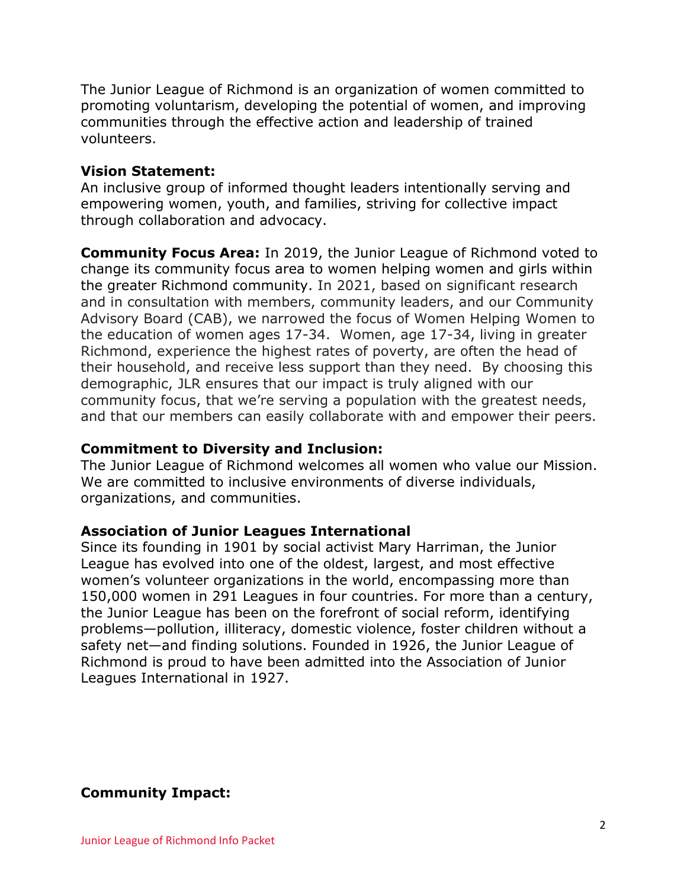The Junior League of Richmond is an organization of women committed to promoting voluntarism, developing the potential of women, and improving communities through the effective action and leadership of trained volunteers.

## **Vision Statement:**

An inclusive group of informed thought leaders intentionally serving and empowering women, youth, and families, striving for collective impact through collaboration and advocacy.

**Community Focus Area:** In 2019, the Junior League of Richmond voted to change its community focus area to women helping women and girls within the greater Richmond community. In 2021, based on significant research and in consultation with members, community leaders, and our Community Advisory Board (CAB), we narrowed the focus of Women Helping Women to the education of women ages 17-34. Women, age 17-34, living in greater Richmond, experience the highest rates of poverty, are often the head of their household, and receive less support than they need. By choosing this demographic, JLR ensures that our impact is truly aligned with our community focus, that we're serving a population with the greatest needs, and that our members can easily collaborate with and empower their peers.

## **Commitment to Diversity and Inclusion:**

The Junior League of Richmond welcomes all women who value our Mission. We are committed to inclusive environments of diverse individuals, organizations, and communities.

### **Association of Junior Leagues International**

Since its founding in 1901 by social activist Mary Harriman, the Junior League has evolved into one of the oldest, largest, and most effective women's volunteer organizations in the world, encompassing more than 150,000 women in 291 Leagues in four countries. For more than a century, the Junior League has been on the forefront of social reform, identifying problems—pollution, illiteracy, domestic violence, foster children without a safety net—and finding solutions. Founded in 1926, the Junior League of Richmond is proud to have been admitted into the Association of Junior Leagues International in 1927.

**Community Impact:**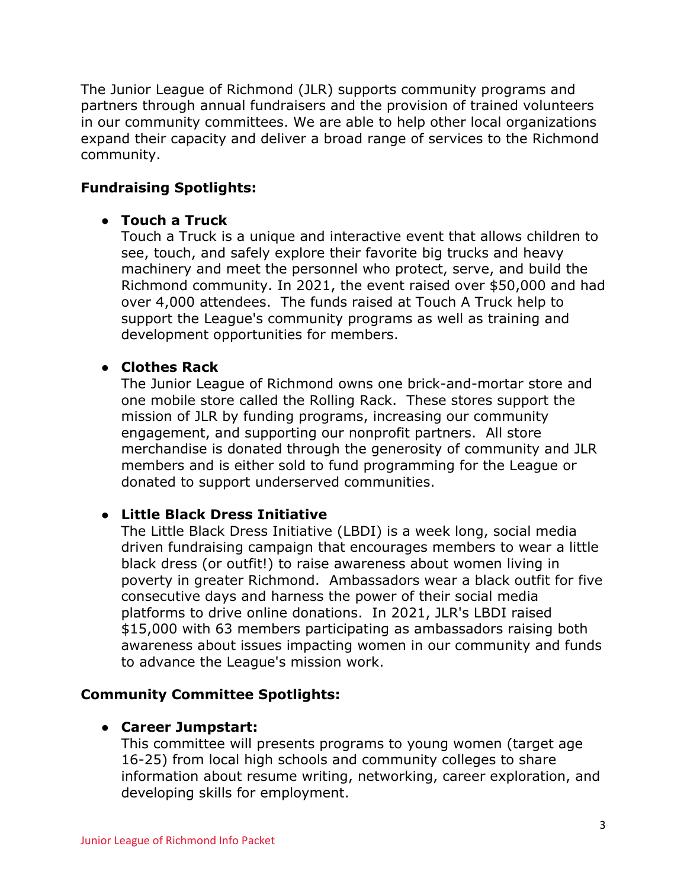The Junior League of Richmond (JLR) supports community programs and partners through annual fundraisers and the provision of trained volunteers in our community committees. We are able to help other local organizations expand their capacity and deliver a broad range of services to the Richmond community.

## **Fundraising Spotlights:**

## ● **Touch a Truck**

Touch a Truck is a unique and interactive event that allows children to see, touch, and safely explore their favorite big trucks and heavy machinery and meet the personnel who protect, serve, and build the Richmond community. In 2021, the event raised over \$50,000 and had over 4,000 attendees. The funds raised at Touch A Truck help to support the League's community programs as well as training and development opportunities for members.

## ● **Clothes Rack**

The Junior League of Richmond owns one brick-and-mortar store and one mobile store called the Rolling Rack. These stores support the mission of JLR by funding programs, increasing our community engagement, and supporting our nonprofit partners. All store merchandise is donated through the generosity of community and JLR members and is either sold to fund programming for the League or donated to support underserved communities.

## ● **Little Black Dress Initiative**

The Little Black Dress Initiative (LBDI) is a week long, social media driven fundraising campaign that encourages members to wear a little black dress (or outfit!) to raise awareness about women living in poverty in greater Richmond. Ambassadors wear a black outfit for five consecutive days and harness the power of their social media platforms to drive online donations. In 2021, JLR's LBDI raised \$15,000 with 63 members participating as ambassadors raising both awareness about issues impacting women in our community and funds to advance the League's mission work.

## **Community Committee Spotlights:**

## ● **Career Jumpstart:**

This committee will presents programs to young women (target age 16-25) from local high schools and community colleges to share information about resume writing, networking, career exploration, and developing skills for employment.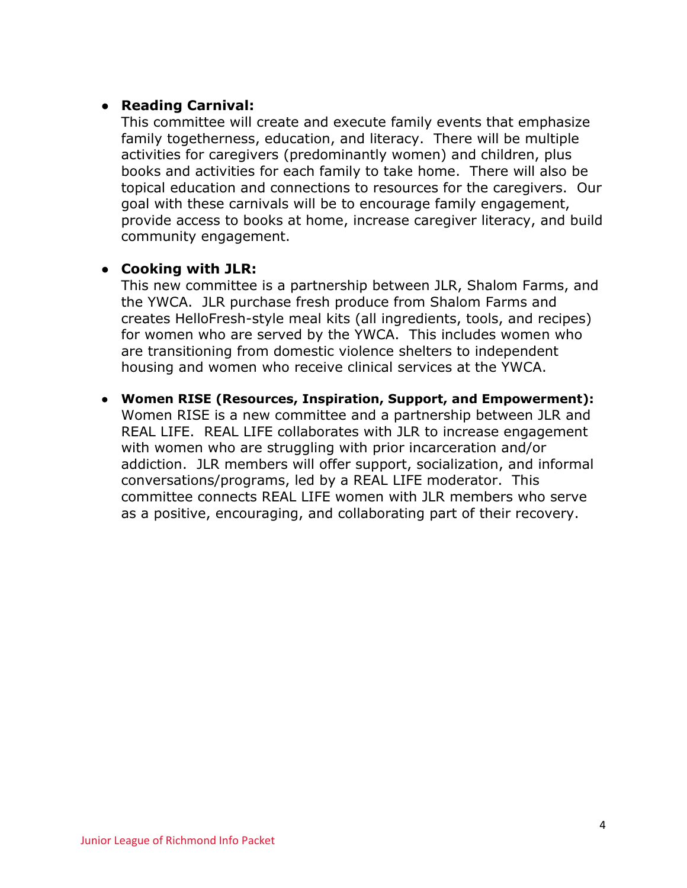## ● **Reading Carnival:**

This committee will create and execute family events that emphasize family togetherness, education, and literacy. There will be multiple activities for caregivers (predominantly women) and children, plus books and activities for each family to take home. There will also be topical education and connections to resources for the caregivers. Our goal with these carnivals will be to encourage family engagement, provide access to books at home, increase caregiver literacy, and build community engagement.

## ● **Cooking with JLR:**

This new committee is a partnership between JLR, Shalom Farms, and the YWCA. JLR purchase fresh produce from Shalom Farms and creates HelloFresh-style meal kits (all ingredients, tools, and recipes) for women who are served by the YWCA. This includes women who are transitioning from domestic violence shelters to independent housing and women who receive clinical services at the YWCA.

● **Women RISE (Resources, Inspiration, Support, and Empowerment):**  Women RISE is a new committee and a partnership between JLR and REAL LIFE. REAL LIFE collaborates with JLR to increase engagement with women who are struggling with prior incarceration and/or addiction. JLR members will offer support, socialization, and informal conversations/programs, led by a REAL LIFE moderator. This committee connects REAL LIFE women with JLR members who serve as a positive, encouraging, and collaborating part of their recovery.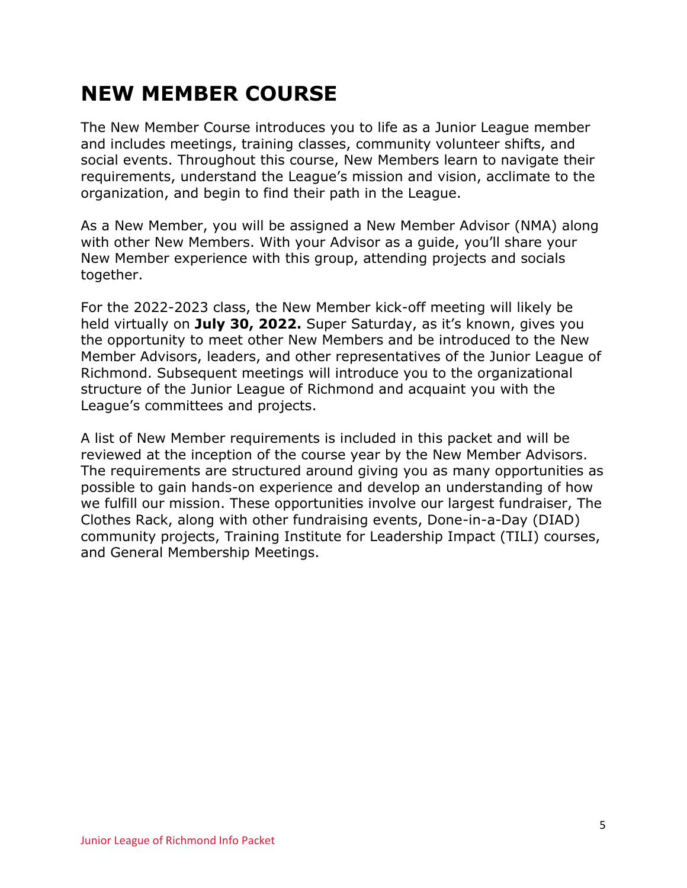# **NEW MEMBER COURSE**

The New Member Course introduces you to life as a Junior League member and includes meetings, training classes, community volunteer shifts, and social events. Throughout this course, New Members learn to navigate their requirements, understand the League's mission and vision, acclimate to the organization, and begin to find their path in the League.

As a New Member, you will be assigned a New Member Advisor (NMA) along with other New Members. With your Advisor as a guide, you'll share your New Member experience with this group, attending projects and socials together.

For the 2022-2023 class, the New Member kick-off meeting will likely be held virtually on **July 30, 2022.** Super Saturday, as it's known, gives you the opportunity to meet other New Members and be introduced to the New Member Advisors, leaders, and other representatives of the Junior League of Richmond. Subsequent meetings will introduce you to the organizational structure of the Junior League of Richmond and acquaint you with the League's committees and projects.

A list of New Member requirements is included in this packet and will be reviewed at the inception of the course year by the New Member Advisors. The requirements are structured around giving you as many opportunities as possible to gain hands-on experience and develop an understanding of how we fulfill our mission. These opportunities involve our largest fundraiser, The Clothes Rack, along with other fundraising events, Done-in-a-Day (DIAD) community projects, Training Institute for Leadership Impact (TILI) courses, and General Membership Meetings.